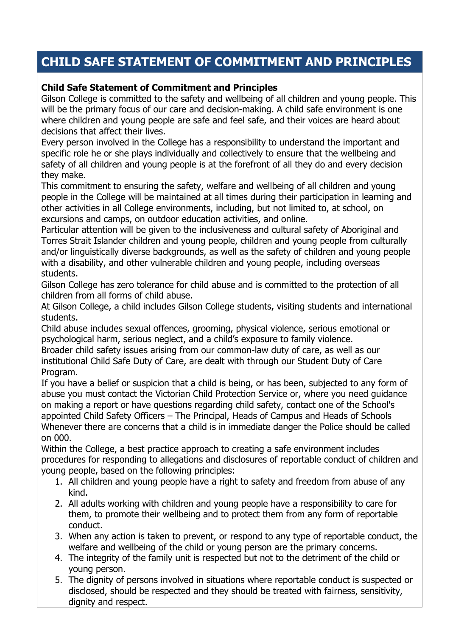## **CHILD SAFE STATEMENT OF COMMITMENT AND PRINCIPLES**

## **Child Safe Statement of Commitment and Principles**

Gilson College is committed to the safety and wellbeing of all children and young people. This will be the primary focus of our care and decision-making. A child safe environment is one where children and young people are safe and feel safe, and their voices are heard about decisions that affect their lives.

Every person involved in the College has a responsibility to understand the important and specific role he or she plays individually and collectively to ensure that the wellbeing and safety of all children and young people is at the forefront of all they do and every decision they make.

This commitment to ensuring the safety, welfare and wellbeing of all children and young people in the College will be maintained at all times during their participation in learning and other activities in all College environments, including, but not limited to, at school, on excursions and camps, on outdoor education activities, and online.

Particular attention will be given to the inclusiveness and cultural safety of Aboriginal and Torres Strait Islander children and young people, children and young people from culturally and/or linguistically diverse backgrounds, as well as the safety of children and young people with a disability, and other vulnerable children and young people, including overseas students.

Gilson College has zero tolerance for child abuse and is committed to the protection of all children from all forms of child abuse.

At Gilson College, a child includes Gilson College students, visiting students and international students.

Child abuse includes sexual offences, grooming, physical violence, serious emotional or psychological harm, serious neglect, and a child's exposure to family violence.

Broader child safety issues arising from our common-law duty of care, as well as our institutional Child Safe Duty of Care, are dealt with through our Student Duty of Care Program.

If you have a belief or suspicion that a child is being, or has been, subjected to any form of abuse you must contact the Victorian Child Protection Service or, where you need guidance on making a report or have questions regarding child safety, contact one of the School's appointed Child Safety Officers – The Principal, Heads of Campus and Heads of Schools Whenever there are concerns that a child is in immediate danger the Police should be called on 000.

Within the College, a best practice approach to creating a safe environment includes procedures for responding to allegations and disclosures of reportable conduct of children and young people, based on the following principles:

- 1. All children and young people have a right to safety and freedom from abuse of any kind.
- 2. All adults working with children and young people have a responsibility to care for them, to promote their wellbeing and to protect them from any form of reportable conduct.
- 3. When any action is taken to prevent, or respond to any type of reportable conduct, the welfare and wellbeing of the child or young person are the primary concerns.
- 4. The integrity of the family unit is respected but not to the detriment of the child or young person.
- 5. The dignity of persons involved in situations where reportable conduct is suspected or disclosed, should be respected and they should be treated with fairness, sensitivity, dignity and respect.